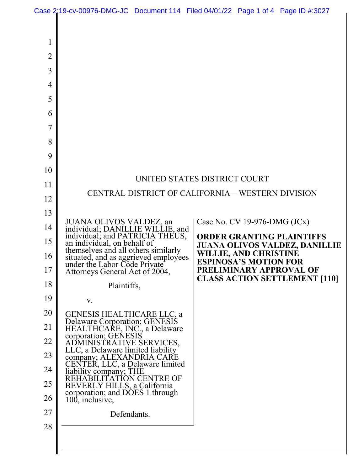|                                           | Case 2:19-cv-00976-DMG-JC Document 114 Filed 04/01/22 Page 1 of 4 Page ID #:3027                      |                                                   |  |                                                              |                                                                          |
|-------------------------------------------|-------------------------------------------------------------------------------------------------------|---------------------------------------------------|--|--------------------------------------------------------------|--------------------------------------------------------------------------|
| 1<br>2<br>3<br>4<br>5<br>6<br>7<br>8<br>9 |                                                                                                       |                                                   |  |                                                              |                                                                          |
| 10                                        |                                                                                                       |                                                   |  |                                                              |                                                                          |
| 11                                        | UNITED STATES DISTRICT COURT                                                                          |                                                   |  |                                                              |                                                                          |
| 12                                        |                                                                                                       | CENTRAL DISTRICT OF CALIFORNIA - WESTERN DIVISION |  |                                                              |                                                                          |
| 13                                        |                                                                                                       |                                                   |  |                                                              |                                                                          |
| 14                                        | JUANA OLIVOS VALDEZ, an<br>individual; DANILLIE WILLIE, and                                           |                                                   |  | Case No. CV 19-976-DMG $(JCx)$                               |                                                                          |
| 15                                        | individual; and PATRICIA THEUS,<br>an individual, on behalf of<br>themselves and all others similarly |                                                   |  |                                                              | <b>ORDER GRANTING PLAINTIFFS</b><br><b>JUANA OLIVOS VALDEZ, DANILLIE</b> |
| 16                                        | situated, and as aggrieved employees<br>under the Labor Code Private                                  |                                                   |  | <b>WILLIE, AND CHRISTINE</b><br><b>ESPINOSA'S MOTION FOR</b> |                                                                          |
| 17                                        | Attorneys General Act of 2004,                                                                        |                                                   |  |                                                              | PRELIMINARY APPROVAL OF<br><b>CLASS ACTION SETTLEMENT [110]</b>          |
| 18                                        | Plaintiffs,                                                                                           |                                                   |  |                                                              |                                                                          |
| 19<br>20                                  | V.                                                                                                    |                                                   |  |                                                              |                                                                          |
| 21                                        | <b>GENESIS HEALTHCARE LLC, a</b><br>Delaware Corporation; GENESIS<br>HEALTHCARE, INC., a Delaware     |                                                   |  |                                                              |                                                                          |
| 22                                        | corporation; GENESIS<br>ADMINISTRATIVE SERVICES,                                                      |                                                   |  |                                                              |                                                                          |
| 23                                        | LLC, a Delaware limited liability<br>company; ALEXANDRIA CARE                                         |                                                   |  |                                                              |                                                                          |
| 24                                        | CENTER, LLC, a Delaware limited                                                                       |                                                   |  |                                                              |                                                                          |
| 25                                        | liability company; THE<br>REHABILITATION CENTRE OF<br>BEVERLY HILLS, a California                     |                                                   |  |                                                              |                                                                          |
| 26                                        | corporation; and DOES 1 through<br>100, inclusive,                                                    |                                                   |  |                                                              |                                                                          |
| 27                                        | Defendants.                                                                                           |                                                   |  |                                                              |                                                                          |
| 28                                        |                                                                                                       |                                                   |  |                                                              |                                                                          |
|                                           |                                                                                                       |                                                   |  |                                                              |                                                                          |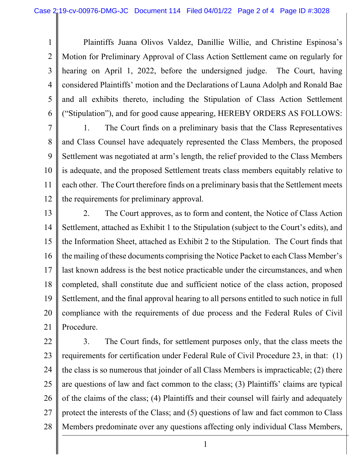1 2 3 4 5 6 Plaintiffs Juana Olivos Valdez, Danillie Willie, and Christine Espinosa's Motion for Preliminary Approval of Class Action Settlement came on regularly for hearing on April 1, 2022, before the undersigned judge. The Court, having considered Plaintiffs' motion and the Declarations of Launa Adolph and Ronald Bae and all exhibits thereto, including the Stipulation of Class Action Settlement ("Stipulation"), and for good cause appearing, HEREBY ORDERS AS FOLLOWS:

7 8 9 10 11 12 1. The Court finds on a preliminary basis that the Class Representatives and Class Counsel have adequately represented the Class Members, the proposed Settlement was negotiated at arm's length, the relief provided to the Class Members is adequate, and the proposed Settlement treats class members equitably relative to each other. The Court therefore finds on a preliminary basis that the Settlement meets the requirements for preliminary approval.

13 14 15 16 17 18 19 20 21 2. The Court approves, as to form and content, the Notice of Class Action Settlement, attached as Exhibit 1 to the Stipulation (subject to the Court's edits), and the Information Sheet, attached as Exhibit 2 to the Stipulation. The Court finds that the mailing of these documents comprising the Notice Packet to each Class Member's last known address is the best notice practicable under the circumstances, and when completed, shall constitute due and sufficient notice of the class action, proposed Settlement, and the final approval hearing to all persons entitled to such notice in full compliance with the requirements of due process and the Federal Rules of Civil Procedure.

22 23 24 25 26 27 28 3. The Court finds, for settlement purposes only, that the class meets the requirements for certification under Federal Rule of Civil Procedure 23, in that: (1) the class is so numerous that joinder of all Class Members is impracticable; (2) there are questions of law and fact common to the class; (3) Plaintiffs' claims are typical of the claims of the class; (4) Plaintiffs and their counsel will fairly and adequately protect the interests of the Class; and (5) questions of law and fact common to Class Members predominate over any questions affecting only individual Class Members,

1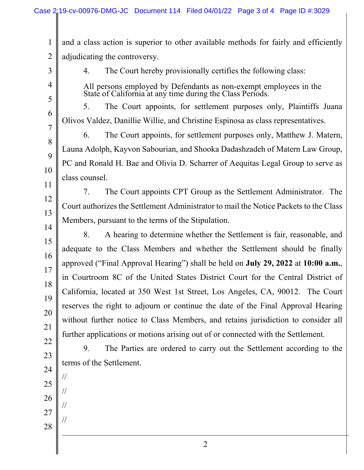1 2 3 4 5 6 7 8 9 10 11 12 13 14 15 16 17 18 19 20 21 22 23 24 25 26 27 28 and a class action is superior to other available methods for fairly and efficiently adjudicating the controversy. 4. The Court hereby provisionally certifies the following class: All persons employed by Defendants as non-exempt employees in the State of California at any time during the Class Periods. 5. The Court appoints, for settlement purposes only, Plaintiffs Juana Olivos Valdez, Danillie Willie, and Christine Espinosa as class representatives. 6. The Court appoints, for settlement purposes only, Matthew J. Matern, Launa Adolph, Kayvon Sabourian, and Shooka Dadashzadeh of Matern Law Group, PC and Ronald H. Bae and Olivia D. Scharrer of Aequitas Legal Group to serve as class counsel. 7. The Court appoints CPT Group as the Settlement Administrator. The Court authorizes the Settlement Administrator to mail the Notice Packets to the Class Members, pursuant to the terms of the Stipulation. 8. A hearing to determine whether the Settlement is fair, reasonable, and adequate to the Class Members and whether the Settlement should be finally approved ("Final Approval Hearing") shall be held on **July 29, 2022** at **10:00 a.m.**, in Courtroom 8C of the United States District Court for the Central District of California, located at 350 West 1st Street, Los Angeles, CA, 90012. The Court reserves the right to adjourn or continue the date of the Final Approval Hearing without further notice to Class Members, and retains jurisdiction to consider all further applications or motions arising out of or connected with the Settlement. 9. The Parties are ordered to carry out the Settlement according to the terms of the Settlement. // // // //